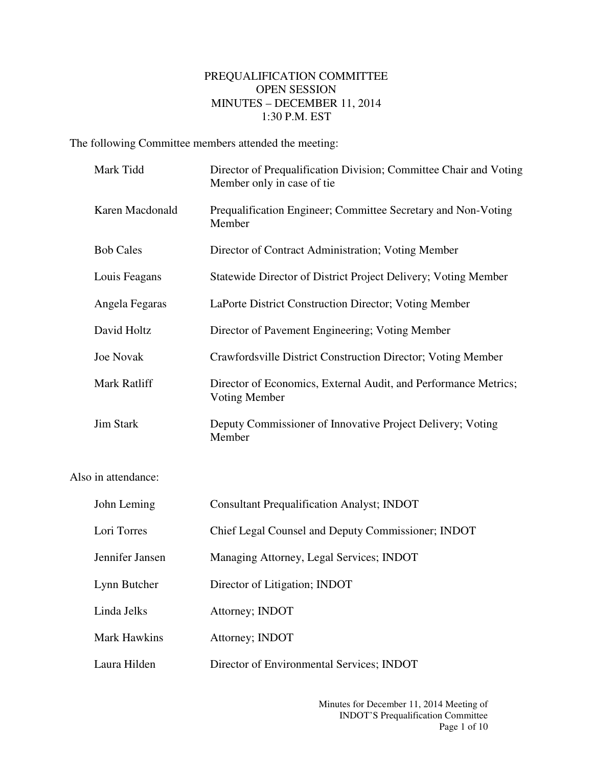## PREQUALIFICATION COMMITTEE OPEN SESSION MINUTES – DECEMBER 11, 2014 1:30 P.M. EST

The following Committee members attended the meeting:

|                     | Mark Tidd        | Director of Prequalification Division; Committee Chair and Voting<br>Member only in case of tie |  |
|---------------------|------------------|-------------------------------------------------------------------------------------------------|--|
|                     | Karen Macdonald  | Prequalification Engineer; Committee Secretary and Non-Voting<br>Member                         |  |
|                     | <b>Bob Cales</b> | Director of Contract Administration; Voting Member                                              |  |
|                     | Louis Feagans    | Statewide Director of District Project Delivery; Voting Member                                  |  |
|                     | Angela Fegaras   | LaPorte District Construction Director; Voting Member                                           |  |
|                     | David Holtz      | Director of Pavement Engineering; Voting Member                                                 |  |
|                     | <b>Joe Novak</b> | Crawfordsville District Construction Director; Voting Member                                    |  |
|                     | Mark Ratliff     | Director of Economics, External Audit, and Performance Metrics;<br><b>Voting Member</b>         |  |
|                     | <b>Jim Stark</b> | Deputy Commissioner of Innovative Project Delivery; Voting<br>Member                            |  |
| Also in attendance: |                  |                                                                                                 |  |
|                     | John Leming      | <b>Consultant Prequalification Analyst; INDOT</b>                                               |  |
|                     | Lori Torres      | Chief Legal Counsel and Deputy Commissioner; INDOT                                              |  |
|                     | Jennifer Jansen  | Managing Attorney, Legal Services; INDOT                                                        |  |
|                     | Lynn Butcher     | Director of Litigation; INDOT                                                                   |  |
|                     | Linda Jelks      | Attorney; INDOT                                                                                 |  |
|                     |                  |                                                                                                 |  |

Mark Hawkins Attorney; INDOT

Laura Hilden Director of Environmental Services; INDOT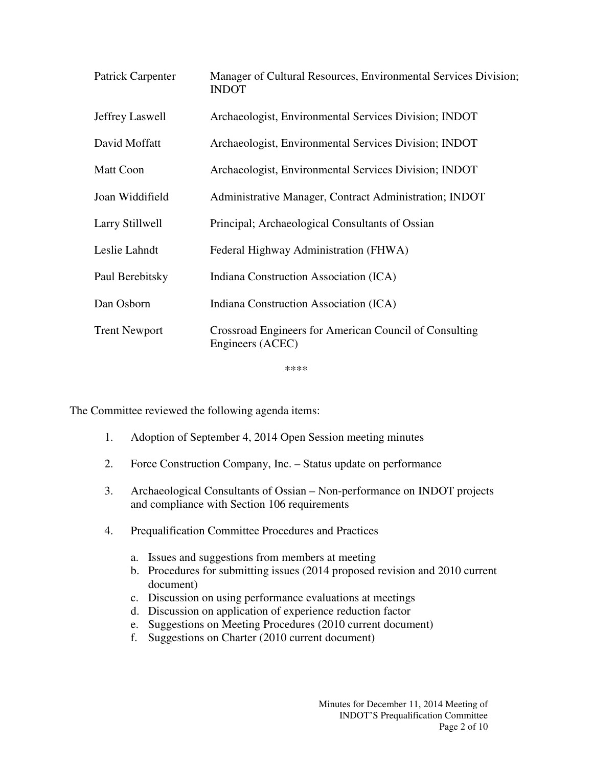| Patrick Carpenter    | Manager of Cultural Resources, Environmental Services Division;<br><b>INDOT</b> |
|----------------------|---------------------------------------------------------------------------------|
| Jeffrey Laswell      | Archaeologist, Environmental Services Division; INDOT                           |
| David Moffatt        | Archaeologist, Environmental Services Division; INDOT                           |
| <b>Matt Coon</b>     | Archaeologist, Environmental Services Division; INDOT                           |
| Joan Widdifield      | Administrative Manager, Contract Administration; INDOT                          |
| Larry Stillwell      | Principal; Archaeological Consultants of Ossian                                 |
| Leslie Lahndt        | Federal Highway Administration (FHWA)                                           |
| Paul Berebitsky      | Indiana Construction Association (ICA)                                          |
| Dan Osborn           | Indiana Construction Association (ICA)                                          |
| <b>Trent Newport</b> | Crossroad Engineers for American Council of Consulting<br>Engineers (ACEC)      |

\*\*\*\*

The Committee reviewed the following agenda items:

- 1. Adoption of September 4, 2014 Open Session meeting minutes
- 2. Force Construction Company, Inc. Status update on performance
- 3. Archaeological Consultants of Ossian Non-performance on INDOT projects and compliance with Section 106 requirements
- 4. Prequalification Committee Procedures and Practices
	- a. Issues and suggestions from members at meeting
	- b. Procedures for submitting issues (2014 proposed revision and 2010 current document)
	- c. Discussion on using performance evaluations at meetings
	- d. Discussion on application of experience reduction factor
	- e. Suggestions on Meeting Procedures (2010 current document)
	- f. Suggestions on Charter (2010 current document)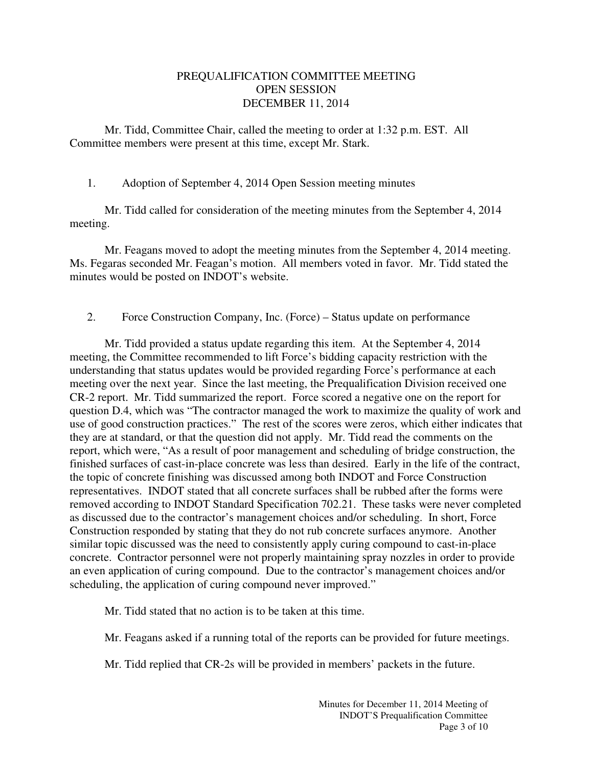## PREQUALIFICATION COMMITTEE MEETING OPEN SESSION DECEMBER 11, 2014

Mr. Tidd, Committee Chair, called the meeting to order at 1:32 p.m. EST. All Committee members were present at this time, except Mr. Stark.

1. Adoption of September 4, 2014 Open Session meeting minutes

Mr. Tidd called for consideration of the meeting minutes from the September 4, 2014 meeting.

Mr. Feagans moved to adopt the meeting minutes from the September 4, 2014 meeting. Ms. Fegaras seconded Mr. Feagan's motion. All members voted in favor. Mr. Tidd stated the minutes would be posted on INDOT's website.

2. Force Construction Company, Inc. (Force) – Status update on performance

Mr. Tidd provided a status update regarding this item. At the September 4, 2014 meeting, the Committee recommended to lift Force's bidding capacity restriction with the understanding that status updates would be provided regarding Force's performance at each meeting over the next year. Since the last meeting, the Prequalification Division received one CR-2 report. Mr. Tidd summarized the report. Force scored a negative one on the report for question D.4, which was "The contractor managed the work to maximize the quality of work and use of good construction practices." The rest of the scores were zeros, which either indicates that they are at standard, or that the question did not apply. Mr. Tidd read the comments on the report, which were, "As a result of poor management and scheduling of bridge construction, the finished surfaces of cast-in-place concrete was less than desired. Early in the life of the contract, the topic of concrete finishing was discussed among both INDOT and Force Construction representatives. INDOT stated that all concrete surfaces shall be rubbed after the forms were removed according to INDOT Standard Specification 702.21. These tasks were never completed as discussed due to the contractor's management choices and/or scheduling. In short, Force Construction responded by stating that they do not rub concrete surfaces anymore. Another similar topic discussed was the need to consistently apply curing compound to cast-in-place concrete. Contractor personnel were not properly maintaining spray nozzles in order to provide an even application of curing compound. Due to the contractor's management choices and/or scheduling, the application of curing compound never improved."

Mr. Tidd stated that no action is to be taken at this time.

Mr. Feagans asked if a running total of the reports can be provided for future meetings.

Mr. Tidd replied that CR-2s will be provided in members' packets in the future.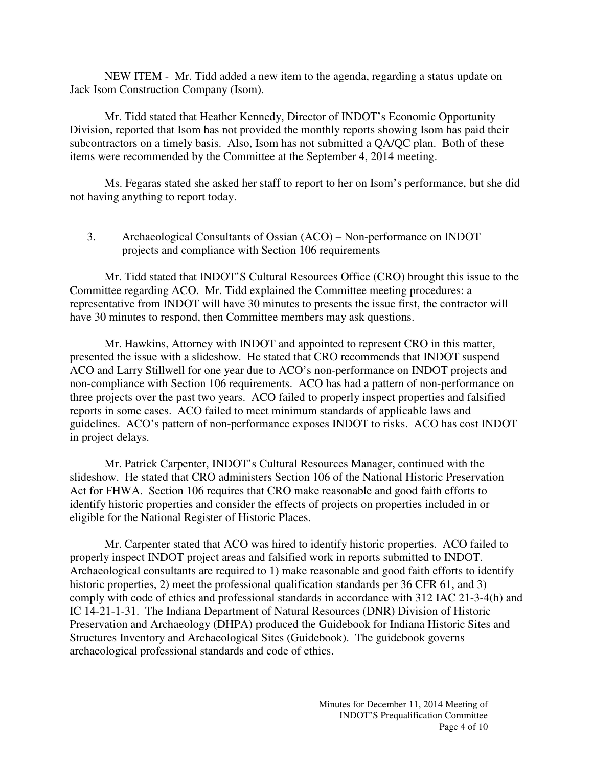NEW ITEM - Mr. Tidd added a new item to the agenda, regarding a status update on Jack Isom Construction Company (Isom).

Mr. Tidd stated that Heather Kennedy, Director of INDOT's Economic Opportunity Division, reported that Isom has not provided the monthly reports showing Isom has paid their subcontractors on a timely basis. Also, Isom has not submitted a QA/QC plan. Both of these items were recommended by the Committee at the September 4, 2014 meeting.

Ms. Fegaras stated she asked her staff to report to her on Isom's performance, but she did not having anything to report today.

3. Archaeological Consultants of Ossian (ACO) – Non-performance on INDOT projects and compliance with Section 106 requirements

Mr. Tidd stated that INDOT'S Cultural Resources Office (CRO) brought this issue to the Committee regarding ACO. Mr. Tidd explained the Committee meeting procedures: a representative from INDOT will have 30 minutes to presents the issue first, the contractor will have 30 minutes to respond, then Committee members may ask questions.

Mr. Hawkins, Attorney with INDOT and appointed to represent CRO in this matter, presented the issue with a slideshow. He stated that CRO recommends that INDOT suspend ACO and Larry Stillwell for one year due to ACO's non-performance on INDOT projects and non-compliance with Section 106 requirements. ACO has had a pattern of non-performance on three projects over the past two years. ACO failed to properly inspect properties and falsified reports in some cases. ACO failed to meet minimum standards of applicable laws and guidelines. ACO's pattern of non-performance exposes INDOT to risks. ACO has cost INDOT in project delays.

Mr. Patrick Carpenter, INDOT's Cultural Resources Manager, continued with the slideshow. He stated that CRO administers Section 106 of the National Historic Preservation Act for FHWA. Section 106 requires that CRO make reasonable and good faith efforts to identify historic properties and consider the effects of projects on properties included in or eligible for the National Register of Historic Places.

Mr. Carpenter stated that ACO was hired to identify historic properties. ACO failed to properly inspect INDOT project areas and falsified work in reports submitted to INDOT. Archaeological consultants are required to 1) make reasonable and good faith efforts to identify historic properties, 2) meet the professional qualification standards per 36 CFR 61, and 3) comply with code of ethics and professional standards in accordance with 312 IAC 21-3-4(h) and IC 14-21-1-31. The Indiana Department of Natural Resources (DNR) Division of Historic Preservation and Archaeology (DHPA) produced the Guidebook for Indiana Historic Sites and Structures Inventory and Archaeological Sites (Guidebook). The guidebook governs archaeological professional standards and code of ethics.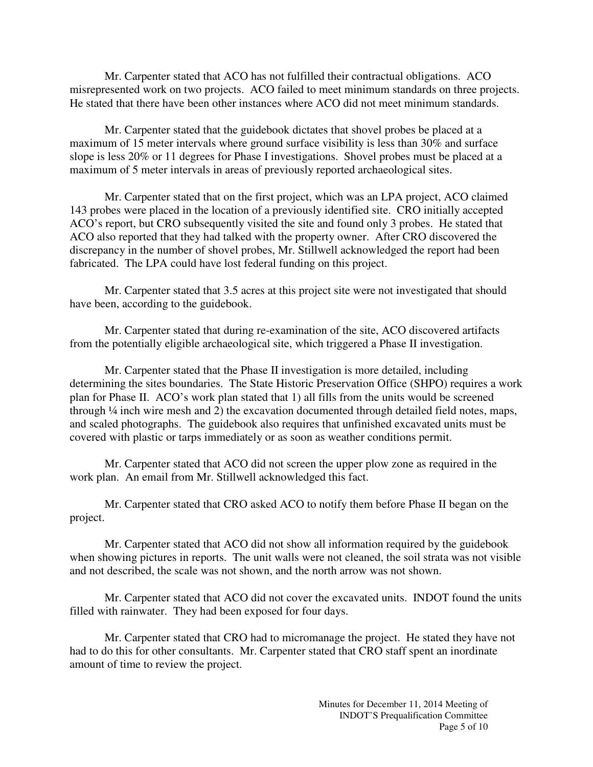Mr. Carpenter stated that ACO has not fulfilled their contractual obligations. ACO misrepresented work on two projects. ACO failed to meet minimum standards on three projects. He stated that there have been other instances where ACO did not meet minimum standards.

Mr. Carpenter stated that the guidebook dictates that shovel probes be placed at a maximum of 15 meter intervals where ground surface visibility is less than 30% and surface slope is less 20% or 11 degrees for Phase I investigations. Shovel probes must be placed at a maximum of 5 meter intervals in areas of previously reported archaeological sites.

Mr. Carpenter stated that on the first project, which was an LPA project, ACO claimed 143 probes were placed in the location of a previously identified site. CRO initially accepted ACO's report, but CRO subsequently visited the site and found only 3 probes. He stated that ACO also reported that they had talked with the property owner. After CRO discovered the discrepancy in the number of shovel probes, Mr. Stillwell acknowledged the report had been fabricated. The LPA could have lost federal funding on this project.

Mr. Carpenter stated that 3.5 acres at this project site were not investigated that should have been, according to the guidebook.

Mr. Carpenter stated that during re-examination of the site, ACO discovered artifacts from the potentially eligible archaeological site, which triggered a Phase II investigation.

Mr. Carpenter stated that the Phase II investigation is more detailed, including determining the sites boundaries. The State Historic Preservation Office (SHPO) requires a work plan for Phase II. ACO's work plan stated that 1) all fills from the units would be screened through ¼ inch wire mesh and 2) the excavation documented through detailed field notes, maps, and scaled photographs. The guidebook also requires that unfinished excavated units must be covered with plastic or tarps immediately or as soon as weather conditions permit.

Mr. Carpenter stated that ACO did not screen the upper plow zone as required in the work plan. An email from Mr. Stillwell acknowledged this fact.

Mr. Carpenter stated that CRO asked ACO to notify them before Phase II began on the project.

Mr. Carpenter stated that ACO did not show all information required by the guidebook when showing pictures in reports. The unit walls were not cleaned, the soil strata was not visible and not described, the scale was not shown, and the north arrow was not shown.

Mr. Carpenter stated that ACO did not cover the excavated units. INDOT found the units filled with rainwater. They had been exposed for four days.

Mr. Carpenter stated that CRO had to micromanage the project. He stated they have not had to do this for other consultants. Mr. Carpenter stated that CRO staff spent an inordinate amount of time to review the project.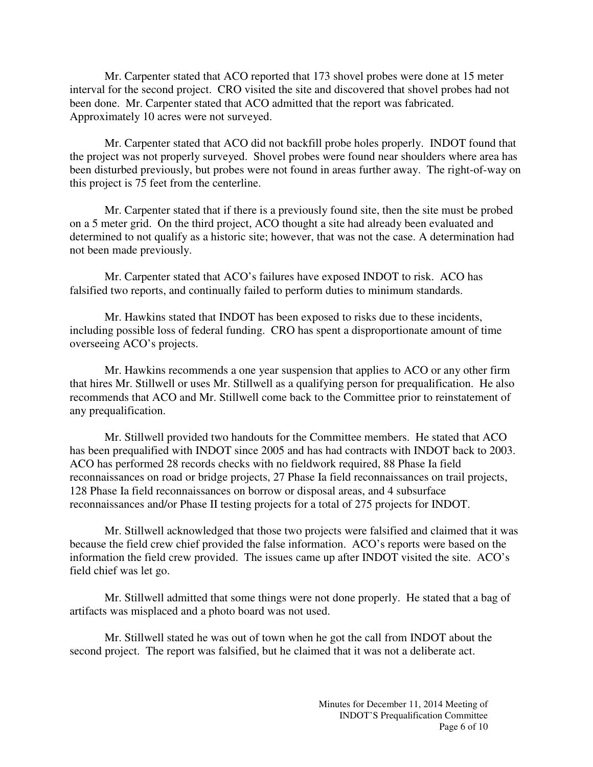Mr. Carpenter stated that ACO reported that 173 shovel probes were done at 15 meter interval for the second project. CRO visited the site and discovered that shovel probes had not been done. Mr. Carpenter stated that ACO admitted that the report was fabricated. Approximately 10 acres were not surveyed.

Mr. Carpenter stated that ACO did not backfill probe holes properly. INDOT found that the project was not properly surveyed. Shovel probes were found near shoulders where area has been disturbed previously, but probes were not found in areas further away. The right-of-way on this project is 75 feet from the centerline.

Mr. Carpenter stated that if there is a previously found site, then the site must be probed on a 5 meter grid. On the third project, ACO thought a site had already been evaluated and determined to not qualify as a historic site; however, that was not the case. A determination had not been made previously.

Mr. Carpenter stated that ACO's failures have exposed INDOT to risk. ACO has falsified two reports, and continually failed to perform duties to minimum standards.

Mr. Hawkins stated that INDOT has been exposed to risks due to these incidents, including possible loss of federal funding. CRO has spent a disproportionate amount of time overseeing ACO's projects.

Mr. Hawkins recommends a one year suspension that applies to ACO or any other firm that hires Mr. Stillwell or uses Mr. Stillwell as a qualifying person for prequalification. He also recommends that ACO and Mr. Stillwell come back to the Committee prior to reinstatement of any prequalification.

Mr. Stillwell provided two handouts for the Committee members. He stated that ACO has been prequalified with INDOT since 2005 and has had contracts with INDOT back to 2003. ACO has performed 28 records checks with no fieldwork required, 88 Phase Ia field reconnaissances on road or bridge projects, 27 Phase Ia field reconnaissances on trail projects, 128 Phase Ia field reconnaissances on borrow or disposal areas, and 4 subsurface reconnaissances and/or Phase II testing projects for a total of 275 projects for INDOT.

Mr. Stillwell acknowledged that those two projects were falsified and claimed that it was because the field crew chief provided the false information. ACO's reports were based on the information the field crew provided. The issues came up after INDOT visited the site. ACO's field chief was let go.

Mr. Stillwell admitted that some things were not done properly. He stated that a bag of artifacts was misplaced and a photo board was not used.

Mr. Stillwell stated he was out of town when he got the call from INDOT about the second project. The report was falsified, but he claimed that it was not a deliberate act.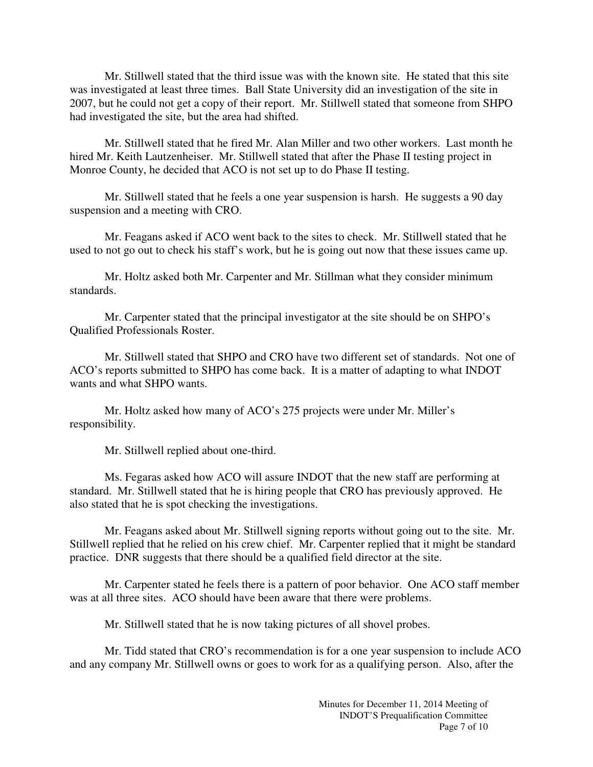Mr. Stillwell stated that the third issue was with the known site. He stated that this site was investigated at least three times. Ball State University did an investigation of the site in 2007, but he could not get a copy of their report. Mr. Stillwell stated that someone from SHPO had investigated the site, but the area had shifted.

Mr. Stillwell stated that he fired Mr. Alan Miller and two other workers. Last month he hired Mr. Keith Lautzenheiser. Mr. Stillwell stated that after the Phase II testing project in Monroe County, he decided that ACO is not set up to do Phase II testing.

Mr. Stillwell stated that he feels a one year suspension is harsh. He suggests a 90 day suspension and a meeting with CRO.

Mr. Feagans asked if ACO went back to the sites to check. Mr. Stillwell stated that he used to not go out to check his staff's work, but he is going out now that these issues came up.

Mr. Holtz asked both Mr. Carpenter and Mr. Stillman what they consider minimum standards.

Mr. Carpenter stated that the principal investigator at the site should be on SHPO's Qualified Professionals Roster.

Mr. Stillwell stated that SHPO and CRO have two different set of standards. Not one of ACO's reports submitted to SHPO has come back. It is a matter of adapting to what INDOT wants and what SHPO wants.

Mr. Holtz asked how many of ACO's 275 projects were under Mr. Miller's responsibility.

Mr. Stillwell replied about one-third.

Ms. Fegaras asked how ACO will assure INDOT that the new staff are performing at standard. Mr. Stillwell stated that he is hiring people that CRO has previously approved. He also stated that he is spot checking the investigations.

Mr. Feagans asked about Mr. Stillwell signing reports without going out to the site. Mr. Stillwell replied that he relied on his crew chief. Mr. Carpenter replied that it might be standard practice. DNR suggests that there should be a qualified field director at the site.

Mr. Carpenter stated he feels there is a pattern of poor behavior. One ACO staff member was at all three sites. ACO should have been aware that there were problems.

Mr. Stillwell stated that he is now taking pictures of all shovel probes.

Mr. Tidd stated that CRO's recommendation is for a one year suspension to include ACO and any company Mr. Stillwell owns or goes to work for as a qualifying person. Also, after the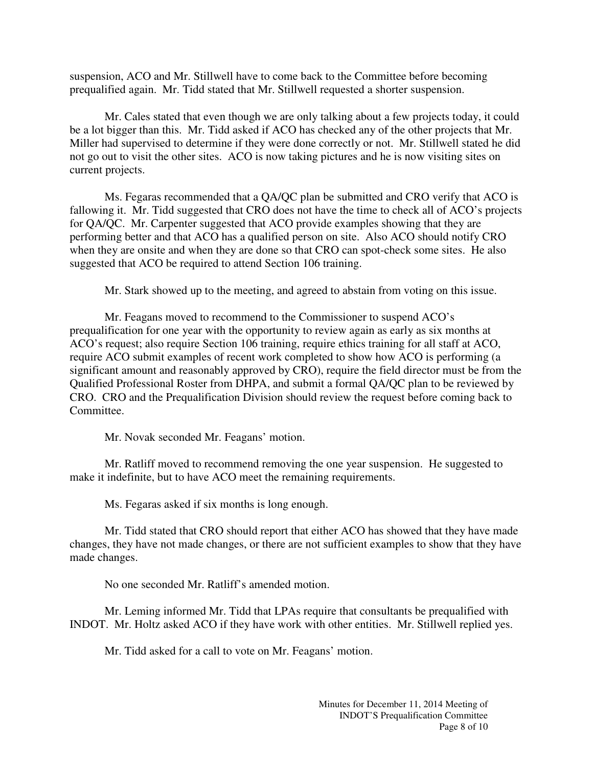suspension, ACO and Mr. Stillwell have to come back to the Committee before becoming prequalified again. Mr. Tidd stated that Mr. Stillwell requested a shorter suspension.

Mr. Cales stated that even though we are only talking about a few projects today, it could be a lot bigger than this. Mr. Tidd asked if ACO has checked any of the other projects that Mr. Miller had supervised to determine if they were done correctly or not. Mr. Stillwell stated he did not go out to visit the other sites. ACO is now taking pictures and he is now visiting sites on current projects.

Ms. Fegaras recommended that a QA/QC plan be submitted and CRO verify that ACO is fallowing it. Mr. Tidd suggested that CRO does not have the time to check all of ACO's projects for QA/QC. Mr. Carpenter suggested that ACO provide examples showing that they are performing better and that ACO has a qualified person on site. Also ACO should notify CRO when they are onsite and when they are done so that CRO can spot-check some sites. He also suggested that ACO be required to attend Section 106 training.

Mr. Stark showed up to the meeting, and agreed to abstain from voting on this issue.

Mr. Feagans moved to recommend to the Commissioner to suspend ACO's prequalification for one year with the opportunity to review again as early as six months at ACO's request; also require Section 106 training, require ethics training for all staff at ACO, require ACO submit examples of recent work completed to show how ACO is performing (a significant amount and reasonably approved by CRO), require the field director must be from the Qualified Professional Roster from DHPA, and submit a formal QA/QC plan to be reviewed by CRO. CRO and the Prequalification Division should review the request before coming back to Committee.

Mr. Novak seconded Mr. Feagans' motion.

Mr. Ratliff moved to recommend removing the one year suspension. He suggested to make it indefinite, but to have ACO meet the remaining requirements.

Ms. Fegaras asked if six months is long enough.

Mr. Tidd stated that CRO should report that either ACO has showed that they have made changes, they have not made changes, or there are not sufficient examples to show that they have made changes.

No one seconded Mr. Ratliff's amended motion.

Mr. Leming informed Mr. Tidd that LPAs require that consultants be prequalified with INDOT. Mr. Holtz asked ACO if they have work with other entities. Mr. Stillwell replied yes.

Mr. Tidd asked for a call to vote on Mr. Feagans' motion.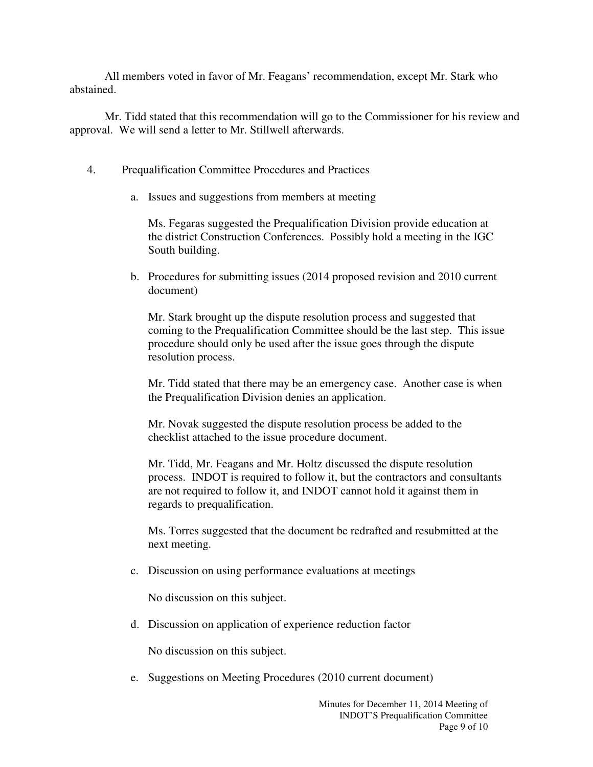All members voted in favor of Mr. Feagans' recommendation, except Mr. Stark who abstained.

Mr. Tidd stated that this recommendation will go to the Commissioner for his review and approval. We will send a letter to Mr. Stillwell afterwards.

- 4. Prequalification Committee Procedures and Practices
	- a. Issues and suggestions from members at meeting

Ms. Fegaras suggested the Prequalification Division provide education at the district Construction Conferences. Possibly hold a meeting in the IGC South building.

b. Procedures for submitting issues (2014 proposed revision and 2010 current document)

Mr. Stark brought up the dispute resolution process and suggested that coming to the Prequalification Committee should be the last step. This issue procedure should only be used after the issue goes through the dispute resolution process.

Mr. Tidd stated that there may be an emergency case. Another case is when the Prequalification Division denies an application.

Mr. Novak suggested the dispute resolution process be added to the checklist attached to the issue procedure document.

Mr. Tidd, Mr. Feagans and Mr. Holtz discussed the dispute resolution process. INDOT is required to follow it, but the contractors and consultants are not required to follow it, and INDOT cannot hold it against them in regards to prequalification.

Ms. Torres suggested that the document be redrafted and resubmitted at the next meeting.

c. Discussion on using performance evaluations at meetings

No discussion on this subject.

d. Discussion on application of experience reduction factor

No discussion on this subject.

e. Suggestions on Meeting Procedures (2010 current document)